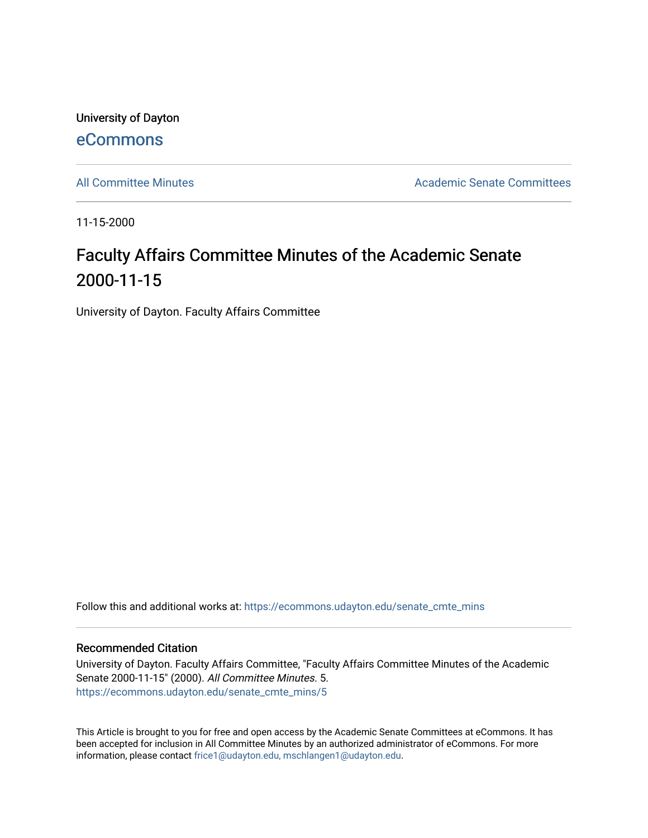University of Dayton [eCommons](https://ecommons.udayton.edu/)

[All Committee Minutes](https://ecommons.udayton.edu/senate_cmte_mins) **Academic Senate Committees** Academic Senate Committees

11-15-2000

## Faculty Affairs Committee Minutes of the Academic Senate 2000-11-15

University of Dayton. Faculty Affairs Committee

Follow this and additional works at: [https://ecommons.udayton.edu/senate\\_cmte\\_mins](https://ecommons.udayton.edu/senate_cmte_mins?utm_source=ecommons.udayton.edu%2Fsenate_cmte_mins%2F5&utm_medium=PDF&utm_campaign=PDFCoverPages)

## Recommended Citation

University of Dayton. Faculty Affairs Committee, "Faculty Affairs Committee Minutes of the Academic Senate 2000-11-15" (2000). All Committee Minutes. 5. [https://ecommons.udayton.edu/senate\\_cmte\\_mins/5](https://ecommons.udayton.edu/senate_cmte_mins/5?utm_source=ecommons.udayton.edu%2Fsenate_cmte_mins%2F5&utm_medium=PDF&utm_campaign=PDFCoverPages)

This Article is brought to you for free and open access by the Academic Senate Committees at eCommons. It has been accepted for inclusion in All Committee Minutes by an authorized administrator of eCommons. For more information, please contact [frice1@udayton.edu, mschlangen1@udayton.edu](mailto:frice1@udayton.edu,%20mschlangen1@udayton.edu).